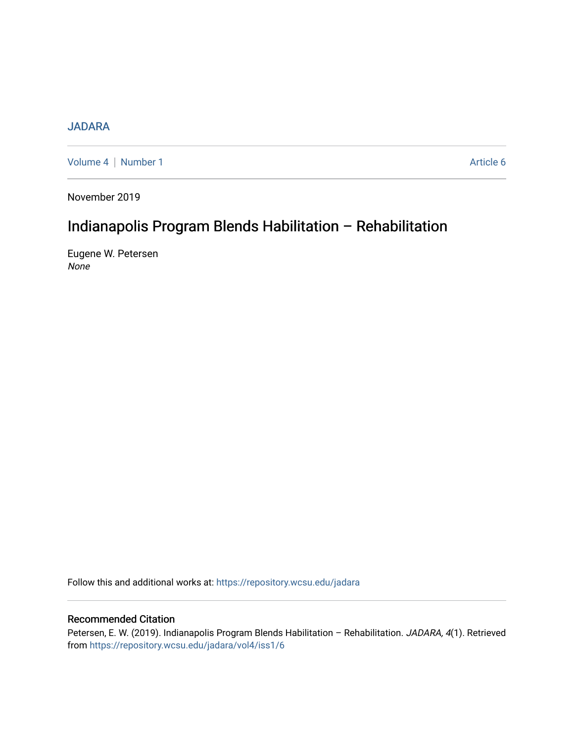# [JADARA](https://repository.wcsu.edu/jadara)

[Volume 4](https://repository.wcsu.edu/jadara/vol4) | [Number 1](https://repository.wcsu.edu/jadara/vol4/iss1) Article 6

November 2019

# Indianapolis Program Blends Habilitation – Rehabilitation

Eugene W. Petersen None

Follow this and additional works at: [https://repository.wcsu.edu/jadara](https://repository.wcsu.edu/jadara?utm_source=repository.wcsu.edu%2Fjadara%2Fvol4%2Fiss1%2F6&utm_medium=PDF&utm_campaign=PDFCoverPages)

# Recommended Citation

Petersen, E. W. (2019). Indianapolis Program Blends Habilitation - Rehabilitation. JADARA, 4(1). Retrieved from [https://repository.wcsu.edu/jadara/vol4/iss1/6](https://repository.wcsu.edu/jadara/vol4/iss1/6?utm_source=repository.wcsu.edu%2Fjadara%2Fvol4%2Fiss1%2F6&utm_medium=PDF&utm_campaign=PDFCoverPages)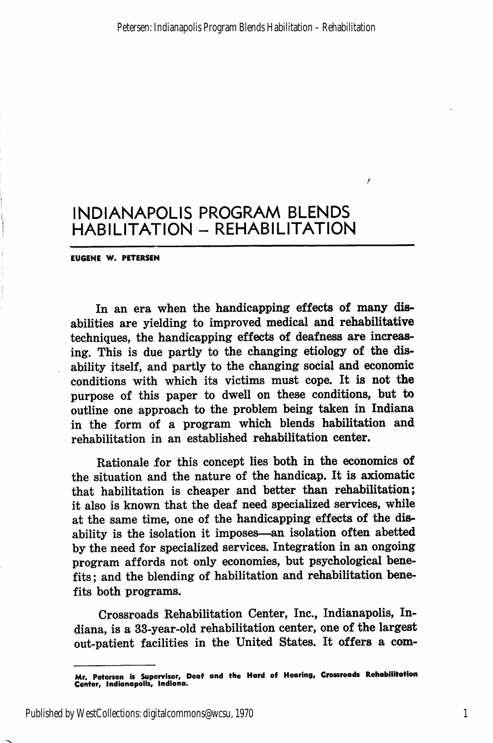EU6ENE W. PETERSEN

In an era when the handicapping effects of many dis abilities are yielding to improved medical and rehabilitative techniques, the handicapping effects of deafness are increas ing. This is due partly to the changing etiology of the disability itself, and partly to the changing social and economic conditions with which its victims must cope. It is not the purpose of this paper to dwell on these conditions, but to outline one approach to the problem being taken in Indiana in the form of a program which blends habilitation and rehabilitation in an established rehabilitation center.

Rationale for this concept lies both in the economics of the situation and the nature of the handicap. It is axiomatic that habilitation is cheaper and better than rehabilitation; it also is known that the deaf need specialized services, while at the same time, one of the handicapping effects of the dis ability is the isolation it imposes—an isolation often abetted by the need for specialized services. Integration in an ongoing program affords not only economies, but psychological bene fits ; and the blending of habilitation and rehabilitation bene fits both programs.

Crossroads Rehabilitation Center, Inc., Indianapolis, In diana, is a 33-year-old rehabilitation center, one of the largest out-patient facilities in the United States. It offers a com-

Published by WestCollections: digitalcommons@wcsu, 1970

Mr. Petersen is Supervisor, Deof and the Hard of Hcoring, Crossroods Rehobilitotion Center, indionopolis, Indiono.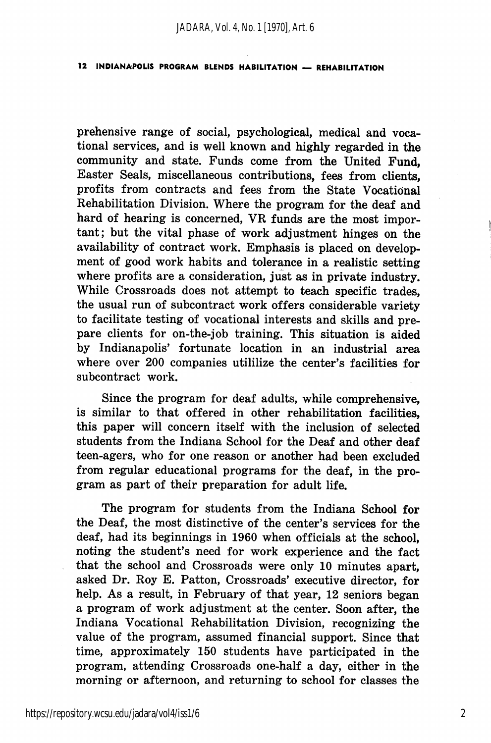prehensive range of social, psychological, medical and voca tional services, and is well known and highly regarded in the community and state. Funds come from the United Fund, Easter Seals, miscellaneous contributions, fees from clients, profits from contracts and fees from the State Vocational Rehabilitation Division. Where the program for the deaf and hard of hearing is concerned, VR funds are the most impor tant; but the vital phase of work adjustment hinges on the availability of contract work. Emphasis is placed on develop ment of good work habits and tolerance in a realistic setting where profits are a consideration, just as in private industry. While Crossroads does not attempt to teach specific trades, the usual run of subcontract work offers considerable variety to facilitate testing of vocational interests and skills and pre pare clients for on-the-job training. This situation is aided by Indianapolis' fortunate location in an industrial area where over 200 companies utililize the center's facilities for subcontract work.

Since the program for deaf adults, while comprehensive, is similar to that offered in other rehabilitation facilities, this paper will concern itself with the inclusion of selected students from the Indiana School for the Deaf and other deaf teen-agers, who for one reason or another had been excluded from regular educational programs for the deaf, in the pro gram as part of their preparation for adult life.

The program for students from the Indiana School for the Deaf, the most distinctive of the center's services for the deaf, had its beginnings in 1960 when officials at the school, noting the student's need for work experience and the fact that the school and Crossroads were only 10 minutes apart, asked Dr. Roy E. Patton, Crossroads' executive director, for help. As a result, in February of that year, 12 seniors began a program of work adjustment at the center. Soon after, the Indiana Vocational Rehabilitation Division, recognizing the value of the program, assumed financial support. Since that time, approximately 150 students have participated in the program, attending Crossroads one-half a day, either in the morning or afternoon, and returning to school for classes the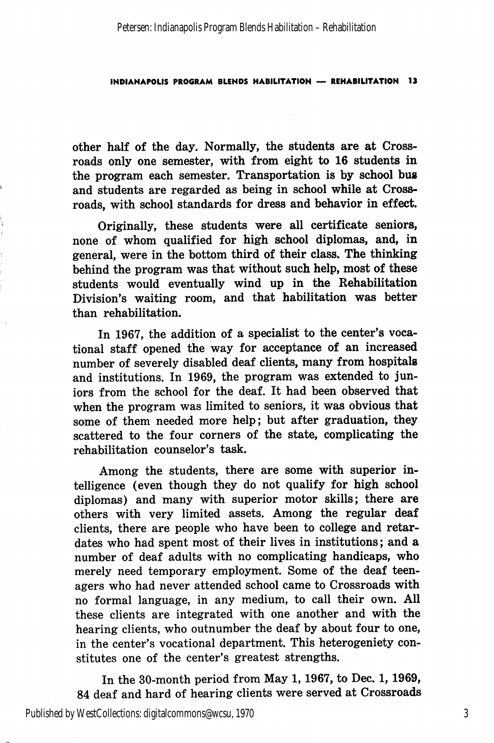other half of the day. Normally, the students are at Cross roads only one semester, with from eight to 16 students in the program each semester. Transportation is by school bus and students are regarded as being in school while at Cross roads, with school standards for dress and behavior in effect.

Originally, these students were all certificate seniors, none of whom qualified for high school diplomas, and, in general, were in the bottom third of their class. The thinking behind the program was that without such help, most of these students would eventually wind up in the Rehabilitation Division's waiting room, and that habilitation was better than rehabilitation.

In 1967, the addition of a specialist to the center's voca tional staff opened the way for acceptance of an increased number of severely disabled deaf clients, many from hospitals and institutions. In 1969, the program was extended to jun iors from the school for the deaf. It had been observed that when the program was limited to seniors, it was obvious that some of them needed more help; but after graduation, they scattered to the four corners of the state, complicating the rehabilitation counselor's task.

Among the students, there are some with superior in telligence (even though they do not qualify for high school diplomas) and many with superior motor skills; there are others with very limited assets. Among the regular deaf clients, there are people who have been to college and retar dates who had spent most of their lives in institutions; and a number of deaf adults with no complicating handicaps, who merely need temporary employment. Some of the deaf teen agers who had never attended school came to Crossroads with no formal language, in any medium, to call their own. All these clients are integrated with one another and with the hearing clients, who outnumber the deaf by about four to one, in the center's vocational department. This heterogeniety con stitutes one of the center's greatest strengths.

In the 30-month period from May 1,1967, to Dec. 1,1969, 84 deaf and hard of hearing clients were served at Crossroads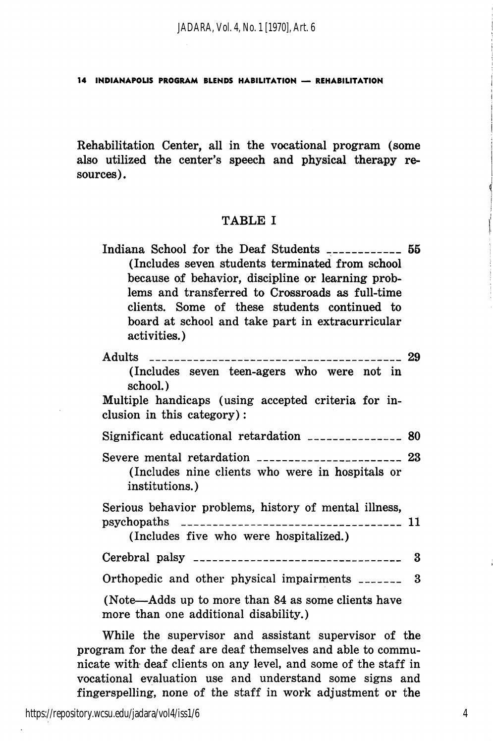*JADARA, Vol. 4, No. 1 [1970], Art. 6*

14 INDIANAPOUS PROGRAM BLENDS HABILITATION — REHABILITATION

Rehabilitation Center, all in the vocational program (some also utilized the center's speech and physical therapy re sources).

## TABLE I

| Indiana School for the Deaf Students ____________                | 55 |
|------------------------------------------------------------------|----|
| (Includes seven students terminated from school                  |    |
| because of behavior, discipline or learning prob-                |    |
| lems and transferred to Crossroads as full-time                  |    |
| clients. Some of these students continued to                     |    |
| board at school and take part in extracurricular<br>activities.) |    |
|                                                                  |    |

|                                                                                                 | 29 |
|-------------------------------------------------------------------------------------------------|----|
| (Includes seven teen-agers who were not in<br>school.)                                          |    |
| Multiple handicaps (using accepted criteria for in-<br>clusion in this category):               |    |
| Significant educational retardation ________________ 80                                         |    |
| (Includes nine clients who were in hospitals or<br>institutions.)                               |    |
| Serious behavior problems, history of mental illness,<br>(Includes five who were hospitalized.) |    |
|                                                                                                 | 3  |
| Orthopedic and other physical impairments ________ 3                                            |    |
| (Note—Adds up to more than 84 as some clients have<br>more than one additional disability.)     |    |

While the supervisor and assistant supervisor of the program for the deaf are deaf themselves and able to commu nicate with deaf clients on any level, and some of the staff in vocational evaluation use and understand some signs and fingerspelling, none of the staff in work adjustment or the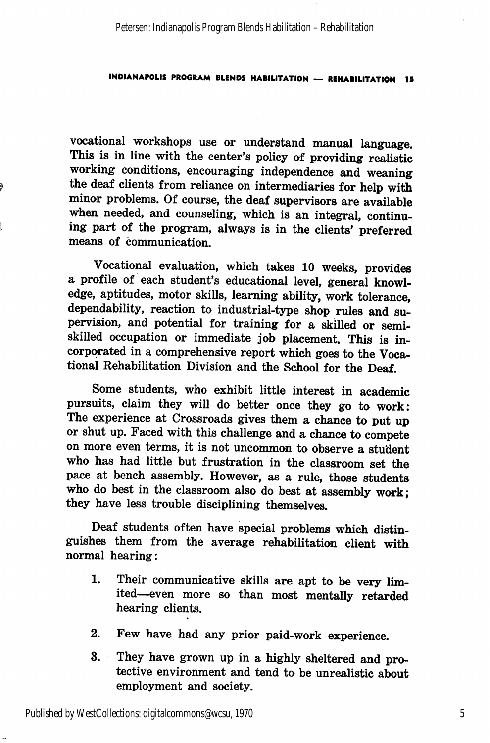vocational workshops use or understand manual language. This is in line with the center's policy of providing realistic working conditions, encouraging independence and weaning the deaf clients from reliance on intermediaries for help with minor problems. Of course, the deaf supervisors are available when needed, and counseling, which is an integral, continu ing part of the program, always is in the clients' preferred means of communication.

þ

Vocational evaluation, which takes 10 weeks, provides a profile of each student's educational level, general knowl edge, aptitudes, motor skills, learning ability, work tolerance, dependability, reaction to industrial-type shop rules and su pervision, and potential for training for a skilled or semi skilled occupation or immediate job placement. This is in corporated in a comprehensive report which goes to the Voca tional Rehabilitation Division and the School for the Deaf.

Some students, who exhibit little interest in academic pursuits, claim they will do better once they go to work: The experience at Crossroads gives them a chance to put up or shut up. Faced with this challenge and a chance to compete on more even terms, it is not uncommon to observe a student who has had little but frustration in the classroom set the pace at bench assembly. However, as a rule, those students who do best in the classroom also do best at assembly work; they have less trouble disciplining themselves.

Deaf students often have special problems which distin guishes them from the average rehabilitation client with normal hearing:

- 1. Their communicative skills are apt to be very lim ited—even more so than most mentally retarded hearing clients.
- 2. Few have had any prior paid-work experience.
- 3. They have grown up in a highly sheltered and pro tective environment and tend to be unrealistic about employment and society.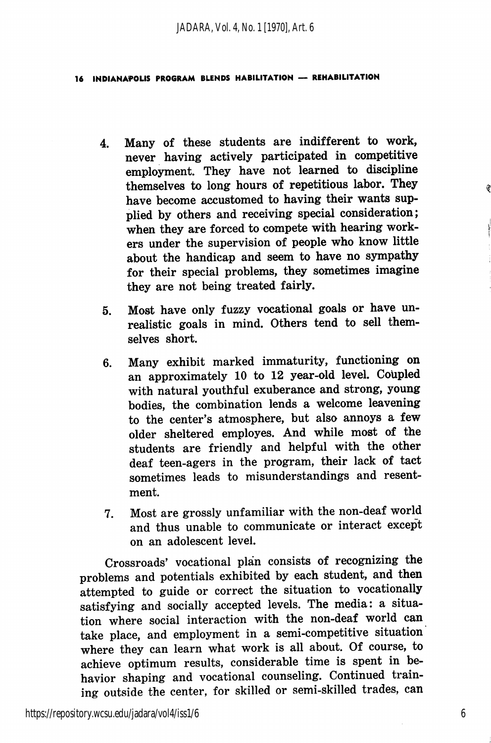- 4. Many of these students are indifferent to work, never having actively participated in competitive employment. They have not learned to discipline themselves to long hours of repetitious labor. They have become accustomed to having their wants sup plied by others and receiving special consideration; when they are forced to compete with hearing work ers under the supervision of people who know little about the handicap and seem to have no sympathy for their special problems, they sometimes imagine they are not being treated fairly.
- 5. Most have only fuzzy vocational goals or have un realistic goals in mind. Others tend to sell them selves short.
- 6. Many exhibit marked immaturity, functioning on an approximately 10 to 12 year-old level. Coupled with natural youthful exuberance and strong, young bodies, the combination lends a welcome leavening to the center's atmosphere, but also annoys a few older sheltered employes. And while most of the students are friendly and helpful with the other deaf teen-agers in the program, their lack of tact sometimes leads to misunderstandings and resent ment.
- 7. Most are grossly unfamiliar with the non-deaf world and thus unable to communicate or interact except on an adolescent level.

Crossroads' vocational plan consists of recognizing the problems and potentials exhibited by each student, and then attempted to guide or correct the situation to vocationally satisfying and socially accepted levels. The media: a situa tion where social interaction with the non-deaf world can take place, and employment in a semi-competitive situation where they can learn what work is all about. Of course, to achieve optimum results, considerable time is spent in be havior shaping and vocational counseling. Continued train ing outside the center, for skilled or semi-skilled trades, can

6

ŷ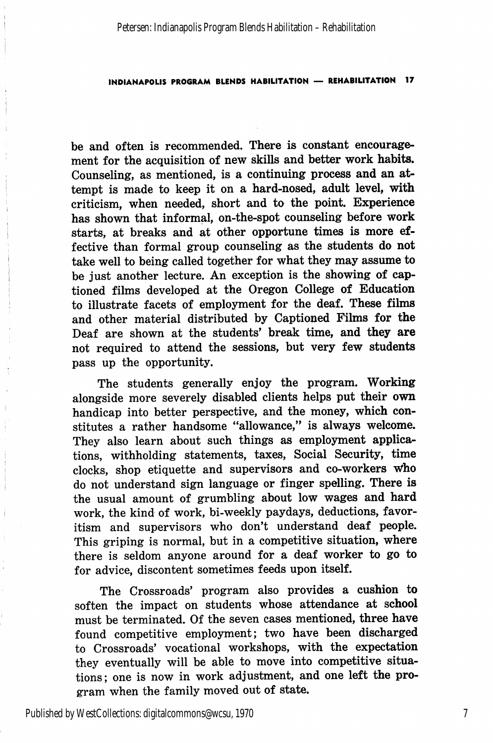be and often is recommended. There is constant encourage ment for the acquisition of new skills and better work habits. Counseling, as mentioned, is a continuing process and an at tempt is made to keep it on a hard-nosed, adult level, with criticism, when needed, short and to the point. Experience has shown that informal, on-the-spot counseling before work starts, at breaks and at other opportune times is more ef fective than formal group counseling as the students do not take well to being called together for what they may assume to be just another lecture. An exception is the showing of captioned films developed at the Oregon College of Education to illustrate facets of employment for the deaf. These films and other material distributed by Captioned Films for the Deaf are shown at the students' break time, and they are not required to attend the sessions, but very few students pass up the opportunity.

The students generally enjoy the program. Working alongside more severely disabled clients helps put their own handicap into better perspective, and the money, which con stitutes a rather handsome "allowance," is always welcome. They also learn about such things as employment applica tions, withholding statements, taxes. Social Security, time clocks, shop etiquette and supervisors and co-workers Who do not understand sign language or finger spelling. There is the usual amount of grumbling about low wages and hard work, the kind of work, bi-weekly paydays, deductions, favor itism and supervisors who don't understand deaf people. This griping is normal, but in a competitive situation, where there is seldom anyone around for a deaf worker to go to for advice, discontent sometimes feeds upon itself.

The Crossroads' program also provides a cushion to soften the impact on students whose attendance at school must be terminated. Of the seven cases mentioned, three have found competitive employment; two have been discharged to Crossroads' vocational workshops, with the expectation they eventually will be able to move into competitive situa tions; one is now in work adjustment, and one left the pro gram when the family moved out of state.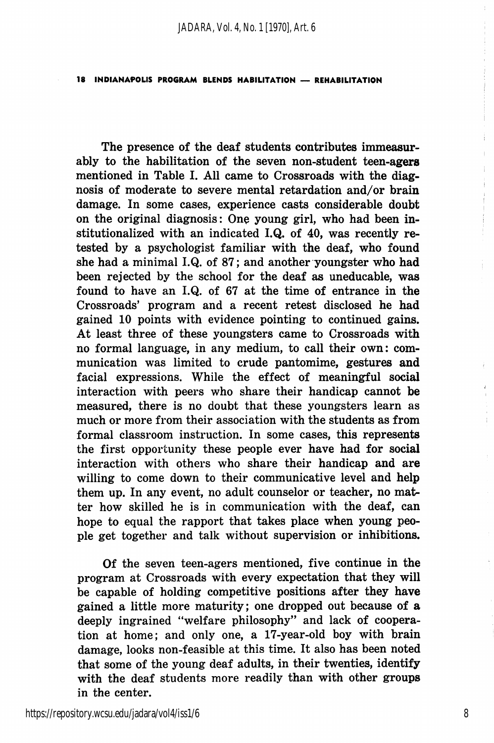The presence of the deaf students contributes immeasur ably to the habilitation of the seven non-student teen-agers mentioned in Table I. All came to Crossroads with the diag nosis of moderate to severe mental retardation and/or brain damage. In some cases, experience casts considerable doubt on the original diagnosis: One young girl, who had been in stitutionalized with an indicated I.Q. of 40, was recently retested by a psychologist familiar with the deaf, who found she had a minimal I.Q. of 87; and another youngster who had been rejected by the school for the deaf as uneducable, was found to have an I.Q. of 67 at the time of entrance in the Crossroads' program and a recent retest disclosed he had gained 10 points with evidence pointing to continued gains. At least three of these youngsters came to Crossroads with no formal language, in any medium, to call their own: com munication was limited to crude pantomime, gestures and facial expressions. While the effect of meaningful social interaction with peers who share their handicap cannot be measured, there is no doubt that these youngsters learn as much or more from their association with the students as from formal classroom instruction. In some cases, this represents the first opportunity these people ever have had for social interaction with others who share their handicap and are willing to come down to their communicative level and help them up. In any event, no adult counselor or teacher, no mat ter how skilled he is in communication with the deaf, can hope to equal the rapport that takes place when young peo ple get together and talk without supervision or inhibitions.

Of the seven teen-agers mentioned, five continue in the program at Crossroads with every expectation that they will be capable of holding competitive positions after they have gained a little more maturity; one dropped out because of a deeply ingrained "welfare philosophy" and lack of coopera tion at home; and only one, a 17-year-old boy with brain damage, looks non-feasible at this time. It also has been noted that some of the young deaf adults, in their twenties, identify with the deaf students more readily than with other groups in the center.

8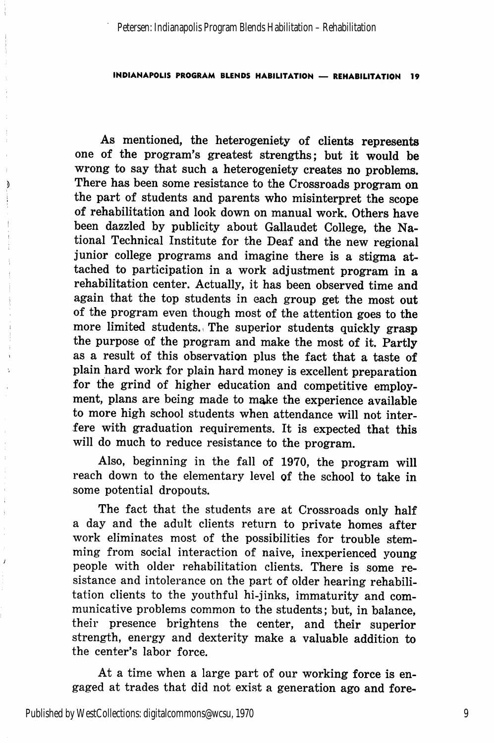As mentioned, the heterogeniety of clients represents one of the program's greatest strengths; but it would be wrong to say that such a heterogeniety creates no problems. There has been some resistance to the Crossroads program on the part of students and parents who misinterpret the scope of rehabilitation and look down on manual work. Others have been dazzled by publicity about Gallaudet College, the Na tional Technical Institute for the Deaf and the new regional junior college programs and imagine there is a stigma attached to participation in a work adjustment program in a rehabilitation center. Actually, it has been observed time and again that the top students in each group get the most out of the program even though most of the attention goes to the more limited students., The superior students quickly grasp the purpose of the program and make the most of it. Partly as a result of this observation plus the fact that a taste of plain hard work for plain hard money is excellent preparation for the grind of higher education and competitive employ ment, plans are being made to make the experience available to more high school students when attendance will not inter fere with graduation requirements. It is expected that will do much to reduce resistance to the program.

Also, beginning in the fall of 1970, the program will reach down to the elementary level of the school to take in some potential dropouts.

The fact that the students are at Crossroads only half a day and the adult clients return to private homes after work eliminates most of the possibilities for trouble stem ming from social interaction of naive, inexperienced young people with older rehabilitation clients. There is some re sistance and intolerance on the part of older hearing rehabili tation clients to the youthful hi-jinks, immaturity and com municative problems common to the students; but, in balance, their presence brightens the center, and their superior strength, energy and dexterity make a valuable addition to the center's labor force.

At a time when a large part of our working force is en gaged at trades that did not exist a generation ago and fore-

Þ

 $\ddot{i}$ 

 $\overline{1}$